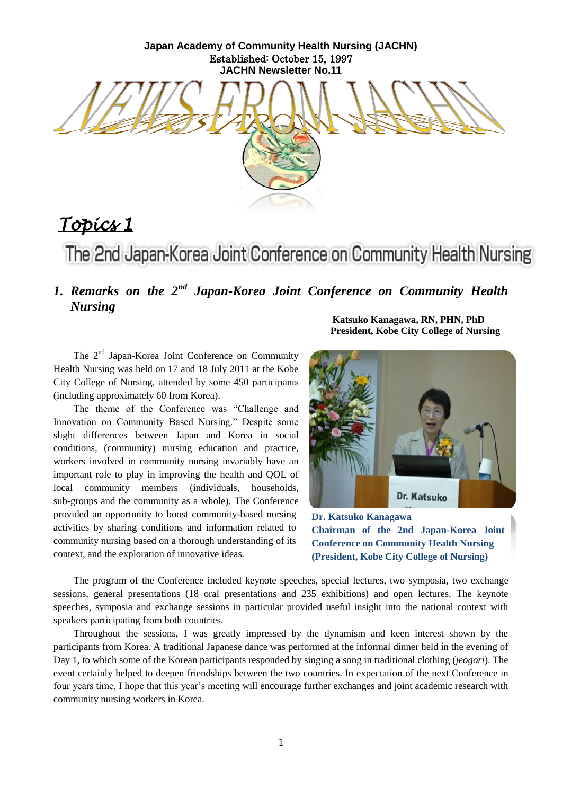**Japan Academy of Community Health Nursing (JACHN)** Established: October 15, 1997 **JACHN Newsletter No.11**



# *Topics 1*

The 2nd Japan-Korea Joint Conference on Community Health Nursing

# *1. Remarks on the 2nd Japan-Korea Joint Conference on Community Health Nursing*

**Katsuko Kanagawa, RN, PHN, PhD President, Kobe City College of Nursing**

The 2<sup>nd</sup> Japan-Korea Joint Conference on Community Health Nursing was held on 17 and 18 July 2011 at the Kobe City College of Nursing, attended by some 450 participants (including approximately 60 from Korea).

The theme of the Conference was "Challenge and Innovation on Community Based Nursing." Despite some slight differences between Japan and Korea in social conditions, (community) nursing education and practice, workers involved in community nursing invariably have an important role to play in improving the health and QOL of local community members (individuals, households, sub-groups and the community as a whole). The Conference provided an opportunity to boost community-based nursing activities by sharing conditions and information related to community nursing based on a thorough understanding of its context, and the exploration of innovative ideas.



**Dr. Katsuko Kanagawa Chairman of the 2nd Japan-Korea Joint Conference on Community Health Nursing (President, Kobe City College of Nursing)**

The program of the Conference included keynote speeches, special lectures, two symposia, two exchange sessions, general presentations (18 oral presentations and 235 exhibitions) and open lectures. The keynote speeches, symposia and exchange sessions in particular provided useful insight into the national context with speakers participating from both countries.

Throughout the sessions, I was greatly impressed by the dynamism and keen interest shown by the participants from Korea. A traditional Japanese dance was performed at the informal dinner held in the evening of Day 1, to which some of the Korean participants responded by singing a song in traditional clothing (*jeogori*). The event certainly helped to deepen friendships between the two countries. In expectation of the next Conference in four years time, I hope that this year"s meeting will encourage further exchanges and joint academic research with community nursing workers in Korea.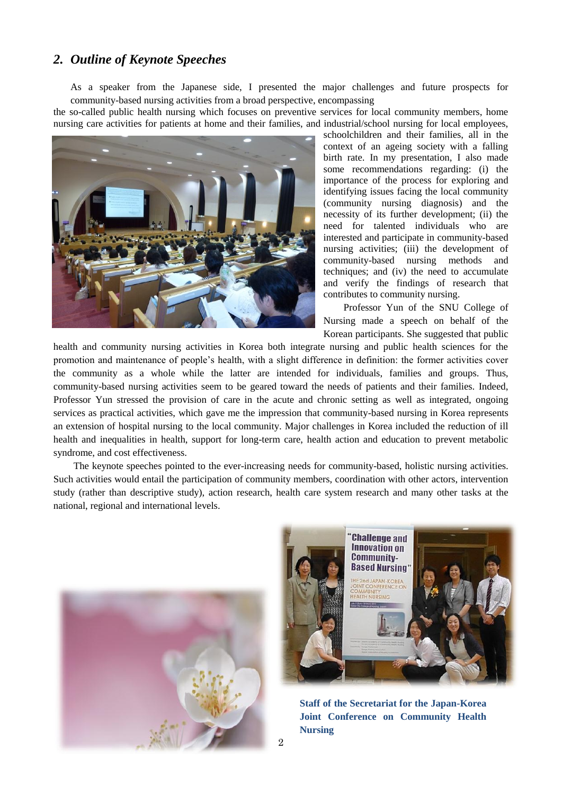## *2. Outline of Keynote Speeches*

As a speaker from the Japanese side, I presented the major challenges and future prospects for community-based nursing activities from a broad perspective, encompassing

the so-called public health nursing which focuses on preventive services for local community members, home nursing care activities for patients at home and their families, and industrial/school nursing for local employees,



schoolchildren and their families, all in the context of an ageing society with a falling birth rate. In my presentation, I also made some recommendations regarding: (i) the importance of the process for exploring and identifying issues facing the local community (community nursing diagnosis) and the necessity of its further development; (ii) the need for talented individuals who are interested and participate in community-based nursing activities; (iii) the development of community-based nursing methods and techniques; and (iv) the need to accumulate and verify the findings of research that contributes to community nursing.

Professor Yun of the SNU College of Nursing made a speech on behalf of the Korean participants. She suggested that public

health and community nursing activities in Korea both integrate nursing and public health sciences for the promotion and maintenance of people"s health, with a slight difference in definition: the former activities cover the community as a whole while the latter are intended for individuals, families and groups. Thus, community-based nursing activities seem to be geared toward the needs of patients and their families. Indeed, Professor Yun stressed the provision of care in the acute and chronic setting as well as integrated, ongoing services as practical activities, which gave me the impression that community-based nursing in Korea represents an extension of hospital nursing to the local community. Major challenges in Korea included the reduction of ill health and inequalities in health, support for long-term care, health action and education to prevent metabolic syndrome, and cost effectiveness.

The keynote speeches pointed to the ever-increasing needs for community-based, holistic nursing activities. Such activities would entail the participation of community members, coordination with other actors, intervention study (rather than descriptive study), action research, health care system research and many other tasks at the national, regional and international levels.





**Staff of the Secretariat for the Japan-Korea Joint Conference on Community Health Nursing**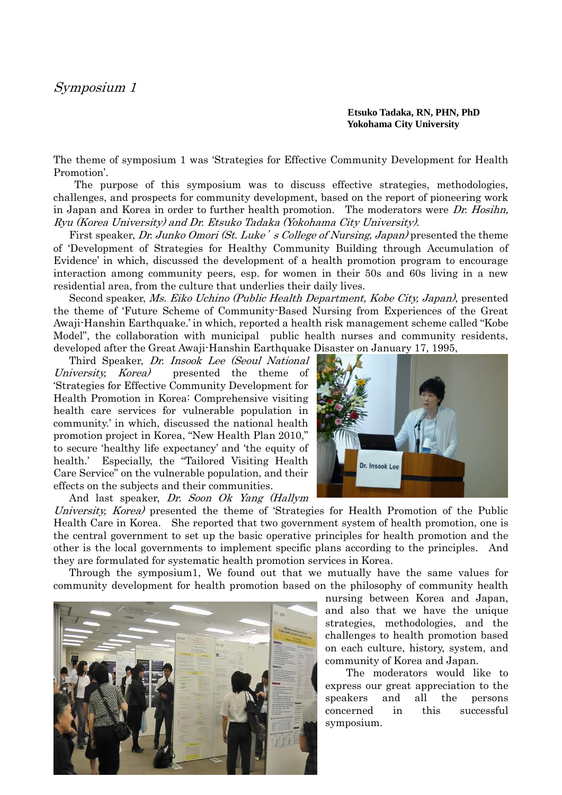**Etsuko Tadaka, RN, PHN, PhD Yokohama City University**

The theme of symposium 1 was "Strategies for Effective Community Development for Health Promotion'.

 The purpose of this symposium was to discuss effective strategies, methodologies, challenges, and prospects for community development, based on the report of pioneering work in Japan and Korea in order to further health promotion. The moderators were Dr. Hosihn, Ryu (Korea University) and Dr. Etsuko Tadaka (Yokohama City University).

First speaker, Dr. Junko Omori (St. Luke's College of Nursing, Japan) presented the theme of "Development of Strategies for Healthy Community Building through Accumulation of Evidence' in which, discussed the development of a health promotion program to encourage interaction among community peers, esp. for women in their 50s and 60s living in a new residential area, from the culture that underlies their daily lives.

Second speaker, Ms. Eiko Uchino (Public Health Department, Kobe City, Japan), presented the theme of "Future Scheme of Community-Based Nursing from Experiences of the Great Awaji-Hanshin Earthquake." in which, reported a health risk management scheme called "Kobe Model", the collaboration with municipal public health nurses and community residents, developed after the Great Awaji-Hanshin Earthquake Disaster on January 17, 1995,

Third Speaker, Dr. Insook Lee (Seoul National University, Korea) presented the theme of "Strategies for Effective Community Development for Health Promotion in Korea: Comprehensive visiting health care services for vulnerable population in community, in which, discussed the national health promotion project in Korea, "New Health Plan 2010," to secure "healthy life expectancy" and "the equity of health." Especially, the "Tailored Visiting Health Care Service" on the vulnerable population, and their effects on the subjects and their communities.

And last speaker, Dr. Soon Ok Yang (Hallym



University, Korea) presented the theme of 'Strategies for Health Promotion of the Public Health Care in Korea. She reported that two government system of health promotion, one is the central government to set up the basic operative principles for health promotion and the other is the local governments to implement specific plans according to the principles. And they are formulated for systematic health promotion services in Korea.

Through the symposium1, We found out that we mutually have the same values for community development for health promotion based on the philosophy of community health



nursing between Korea and Japan, and also that we have the unique strategies, methodologies, and the challenges to health promotion based on each culture, history, system, and community of Korea and Japan.

 The moderators would like to express our great appreciation to the speakers and all the persons concerned in this successful symposium.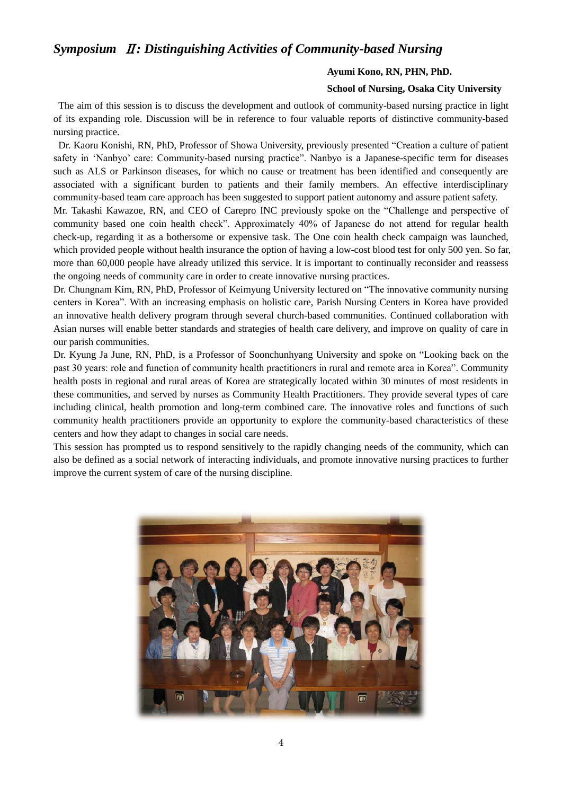## *Symposium* Ⅱ*: Distinguishing Activities of Community-based Nursing*

#### **Ayumi Kono, RN, PHN, PhD.**

### **School of Nursing, Osaka City University**

The aim of this session is to discuss the development and outlook of community-based nursing practice in light of its expanding role. Discussion will be in reference to four valuable reports of distinctive community-based nursing practice.

Dr. Kaoru Konishi, RN, PhD, Professor of Showa University, previously presented "Creation a culture of patient safety in "Nanbyo" care: Community-based nursing practice". Nanbyo is a Japanese-specific term for diseases such as ALS or Parkinson diseases, for which no cause or treatment has been identified and consequently are associated with a significant burden to patients and their family members. An effective interdisciplinary community-based team care approach has been suggested to support patient autonomy and assure patient safety.

Mr. Takashi Kawazoe, RN, and CEO of Carepro INC previously spoke on the "Challenge and perspective of community based one coin health check". Approximately 40% of Japanese do not attend for regular health check-up, regarding it as a bothersome or expensive task. The One coin health check campaign was launched, which provided people without health insurance the option of having a low-cost blood test for only 500 yen. So far, more than 60,000 people have already utilized this service. It is important to continually reconsider and reassess the ongoing needs of community care in order to create innovative nursing practices.

Dr. Chungnam Kim, RN, PhD, Professor of Keimyung University lectured on "The innovative community nursing centers in Korea". With an increasing emphasis on holistic care, Parish Nursing Centers in Korea have provided an innovative health delivery program through several church-based communities. Continued collaboration with Asian nurses will enable better standards and strategies of health care delivery, and improve on quality of care in our parish communities.

Dr. Kyung Ja June, RN, PhD, is a Professor of Soonchunhyang University and spoke on "Looking back on the past 30 years: role and function of community health practitioners in rural and remote area in Korea". Community health posts in regional and rural areas of Korea are strategically located within 30 minutes of most residents in these communities, and served by nurses as Community Health Practitioners. They provide several types of care including clinical, health promotion and long-term combined care. The innovative roles and functions of such community health practitioners provide an opportunity to explore the community-based characteristics of these centers and how they adapt to changes in social care needs.

This session has prompted us to respond sensitively to the rapidly changing needs of the community, which can also be defined as a social network of interacting individuals, and promote innovative nursing practices to further improve the current system of care of the nursing discipline.

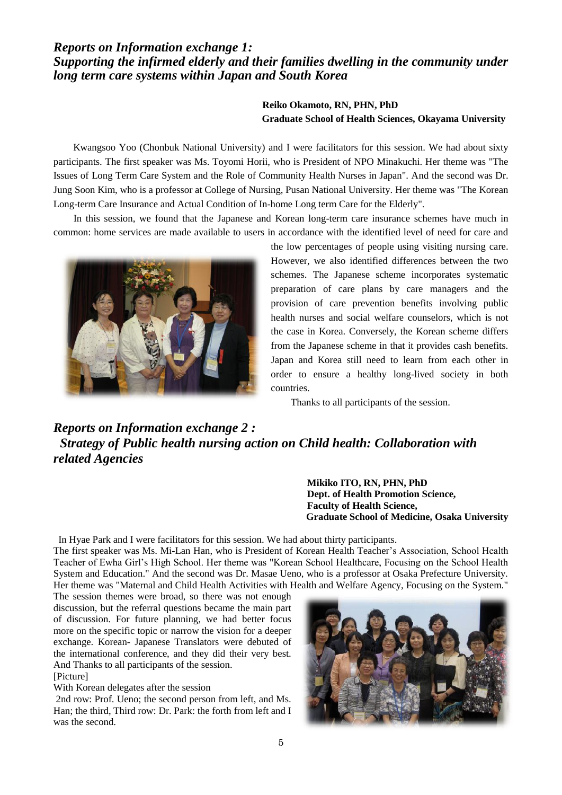### *Reports on Information exchange 1: Supporting the infirmed elderly and their families dwelling in the community under long term care systems within Japan and South Korea*

### **Reiko Okamoto, RN, PHN, PhD Graduate School of Health Sciences, Okayama University**

Kwangsoo Yoo (Chonbuk National University) and I were facilitators for this session. We had about sixty participants. The first speaker was Ms. Toyomi Horii, who is President of NPO Minakuchi. Her theme was "The Issues of Long Term Care System and the Role of Community Health Nurses in Japan". And the second was Dr. Jung Soon Kim, who is a professor at College of Nursing, Pusan National University. Her theme was "The Korean Long-term Care Insurance and Actual Condition of In-home Long term Care for the Elderly".

In this session, we found that the Japanese and Korean long-term care insurance schemes have much in common: home services are made available to users in accordance with the identified level of need for care and



the low percentages of people using visiting nursing care. However, we also identified differences between the two schemes. The Japanese scheme incorporates systematic preparation of care plans by care managers and the provision of care prevention benefits involving public health nurses and social welfare counselors, which is not the case in Korea. Conversely, the Korean scheme differs from the Japanese scheme in that it provides cash benefits. Japan and Korea still need to learn from each other in order to ensure a healthy long-lived society in both countries.

Thanks to all participants of the session.

*Reports on Information exchange 2 : Strategy of Public health nursing action on Child health: Collaboration with related Agencies*

> **Mikiko ITO, RN, PHN, PhD Dept. of Health Promotion Science, Faculty of Health Science, Graduate School of Medicine, Osaka University**

In Hyae Park and I were facilitators for this session. We had about thirty participants.

The first speaker was Ms. Mi-Lan Han, who is President of Korean Health Teacher"s Association, School Health Teacher of Ewha Girl"s High School. Her theme was "Korean School Healthcare, Focusing on the School Health System and Education." And the second was Dr. Masae Ueno, who is a professor at Osaka Prefecture University. Her theme was "Maternal and Child Health Activities with Health and Welfare Agency, Focusing on the System."

The session themes were broad, so there was not enough discussion, but the referral questions became the main part of discussion. For future planning, we had better focus more on the specific topic or narrow the vision for a deeper exchange. Korean- Japanese Translators were debuted of the international conference, and they did their very best. And Thanks to all participants of the session.

[Picture]

With Korean delegates after the session

2nd row: Prof. Ueno; the second person from left, and Ms. Han; the third, Third row: Dr. Park: the forth from left and I was the second.

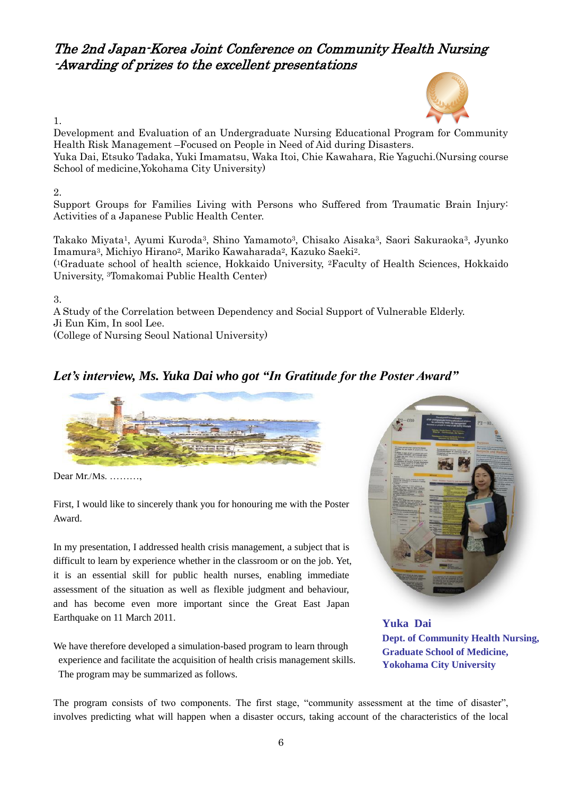# The 2nd Japan-Korea Joint Conference on Community Health Nursing -Awarding of prizes to the excellent presentations



1.

Development and Evaluation of an Undergraduate Nursing Educational Program for Community Health Risk Management –Focused on People in Need of Aid during Disasters. Yuka Dai, Etsuko Tadaka, Yuki Imamatsu, Waka Itoi, Chie Kawahara, Rie Yaguchi.(Nursing course

School of medicine,Yokohama City University)

### 2.

Support Groups for Families Living with Persons who Suffered from Traumatic Brain Injury: Activities of a Japanese Public Health Center.

Takako Miyata1, Ayumi Kuroda3, Shino Yamamoto3, Chisako Aisaka3, Saori Sakuraoka3, Jyunko Imamura3, Michiyo Hirano2, Mariko Kawaharada2, Kazuko Saeki2.

( <sup>1</sup>Graduate school of health science, Hokkaido University, 2Faculty of Health Sciences, Hokkaido University, 3Tomakomai Public Health Center)

3.

A Study of the Correlation between Dependency and Social Support of Vulnerable Elderly. Ji Eun Kim, In sool Lee. (College of Nursing Seoul National University)

# *Let's interview, Ms. Yuka Dai who got "In Gratitude for the Poster Award"*



Dear Mr./Ms. ………,

First, I would like to sincerely thank you for honouring me with the Poster Award.

In my presentation, I addressed health crisis management, a subject that is difficult to learn by experience whether in the classroom or on the job. Yet, it is an essential skill for public health nurses, enabling immediate assessment of the situation as well as flexible judgment and behaviour, and has become even more important since the Great East Japan Earthquake on 11 March 2011.

We have therefore developed a simulation-based program to learn through

experience and facilitate the acquisition of health crisis management skills. The program may be summarized as follows.



**Yuka Dai Dept. of Community Health Nursing, Graduate School of Medicine, Yokohama City University**

The program consists of two components. The first stage, "community assessment at the time of disaster", involves predicting what will happen when a disaster occurs, taking account of the characteristics of the local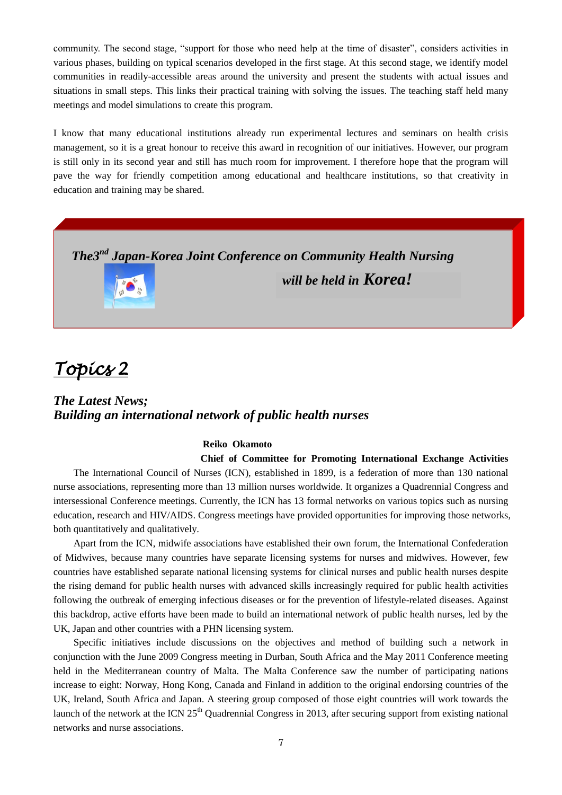community. The second stage, "support for those who need help at the time of disaster", considers activities in various phases, building on typical scenarios developed in the first stage. At this second stage, we identify model communities in readily-accessible areas around the university and present the students with actual issues and situations in small steps. This links their practical training with solving the issues. The teaching staff held many meetings and model simulations to create this program.

I know that many educational institutions already run experimental lectures and seminars on health crisis management, so it is a great honour to receive this award in recognition of our initiatives. However, our program is still only in its second year and still has much room for improvement. I therefore hope that the program will pave the way for friendly competition among educational and healthcare institutions, so that creativity in education and training may be shared.

*The3 nd Japan-Korea Joint Conference on Community Health Nursing* 



*will be held in Korea!*

# *Topics 2*

## *The Latest News; Building an international network of public health nurses*

#### **Reiko Okamoto**

### **Chief of Committee for Promoting International Exchange Activities**

The International Council of Nurses (ICN), established in 1899, is a federation of more than 130 national nurse associations, representing more than 13 million nurses worldwide. It organizes a Quadrennial Congress and intersessional Conference meetings. Currently, the ICN has 13 formal networks on various topics such as nursing education, research and HIV/AIDS. Congress meetings have provided opportunities for improving those networks, both quantitatively and qualitatively.

Apart from the ICN, midwife associations have established their own forum, the International Confederation of Midwives, because many countries have separate licensing systems for nurses and midwives. However, few countries have established separate national licensing systems for clinical nurses and public health nurses despite the rising demand for public health nurses with advanced skills increasingly required for public health activities following the outbreak of emerging infectious diseases or for the prevention of lifestyle-related diseases. Against this backdrop, active efforts have been made to build an international network of public health nurses, led by the UK, Japan and other countries with a PHN licensing system.

Specific initiatives include discussions on the objectives and method of building such a network in conjunction with the June 2009 Congress meeting in Durban, South Africa and the May 2011 Conference meeting held in the Mediterranean country of Malta. The Malta Conference saw the number of participating nations increase to eight: Norway, Hong Kong, Canada and Finland in addition to the original endorsing countries of the UK, Ireland, South Africa and Japan. A steering group composed of those eight countries will work towards the launch of the network at the ICN  $25<sup>th</sup>$  Quadrennial Congress in 2013, after securing support from existing national networks and nurse associations.